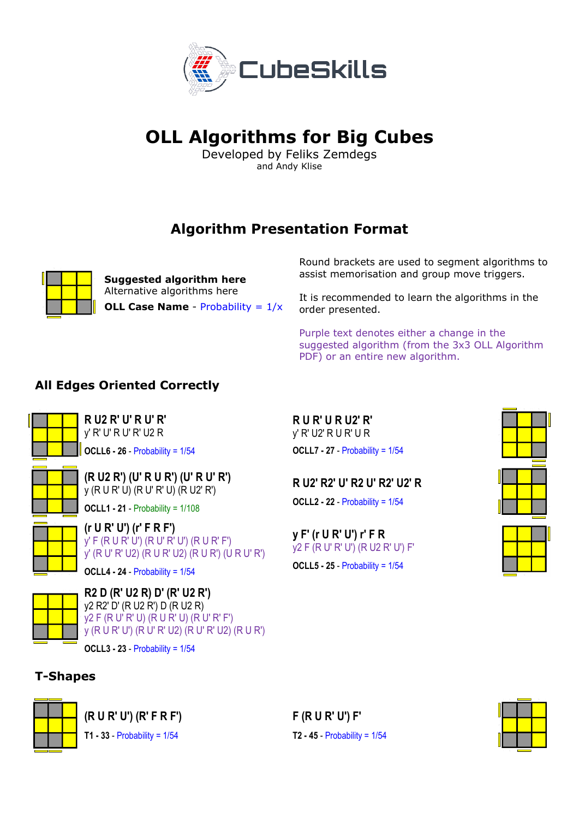

# **OLL Algorithms for Big Cubes**

Developed by Feliks Zemdegs and Andy Klise

# **Algorithm Presentation Format**



**Suggested algorithm here**  Alternative algorithms here **OLL Case Name** - Probability =  $1/x$  Round brackets are used to segment algorithms to assist memorisation and group move triggers.

It is recommended to learn the algorithms in the order presented.

Purple text denotes either a change in the suggested algorithm (from the 3x3 OLL Algorithm PDF) or an entire new algorithm.

#### **All Edges Oriented Correctly**



**R U2 R' U' R U' R'** y' R' U' R U' R' U2 R **OCLL6 - 26** - Probability = 1/54



**(R U2 R') (U' R U R') (U' R U' R')**  y (R U R' U) (R U' R' U) (R U2' R')

**OCLL1 - 21** - Probability = 1/108

**(r U R' U') (r' F R F')**  y' F (R U R' U') (R U' R' U') (R U R' F') y' (R U' R' U2) (R U R' U2) (R U R') (U R U' R')

**OCLL4 - 24** - Probability = 1/54



**R2 D (R' U2 R) D' (R' U2 R')** y2 R2' D' (R U2 R') D (R U2 R) y2 F (R U' R' U) (R U R' U) (R U' R' F') y (R U R' U') (R U' R' U2) (R U' R' U2) (R U R')

**OCLL3 - 23** - Probability = 1/54

#### **T-Shapes**



**(R U R' U') (R' F R F')** 

**T1 - 33** - Probability = 1/54

**F (R U R' U') F'** 

**R U R' U R U2' R'** y' R' U2' R U R' U R

**OCLL7 - 27** - Probability = 1/54

**OCLL2 - 22** - Probability = 1/54

y2 F (R U' R' U') (R U2 R' U') F' **OCLL5 - 25** - Probability = 1/54

**y F' (r U R' U') r' F R** 

**R U2' R2' U' R2 U' R2' U2' R** 



**T2 - 45** - Probability = 1/54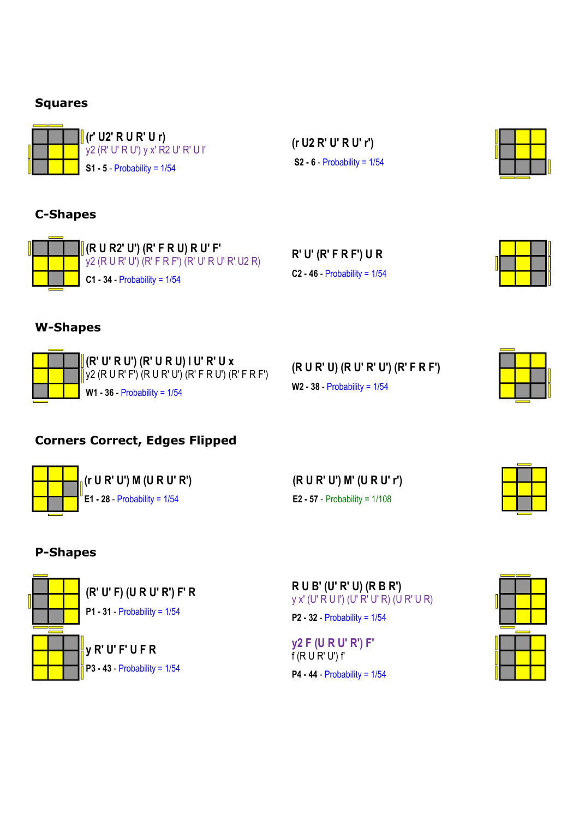#### **Squares**



**(r' U2' R U R' U r)**  y2 (R' U' R U') y x' R2 U' R' U l' **S1 - 5** - Probability = 1/54

**(r U2 R' U' R U' r') S2 - 6** - Probability = 1/54



# **C-Shapes**



**(R U R2' U') (R' F R U) R U' F'**  y2 (R U R' U') (R' F R F') (R' U' R U' R' U2 R) **C1 - 34** - Probability = 1/54

**R' U' (R' F R F') U R C2 - 46** - Probability = 1/54



#### **W-Shapes**



**(R' U' R U') (R' U R U) l U' R' U x**  $\frac{1}{2}$ y2 (R U R' F') (R U R' U') (R' F R U') (R' F R F') **W1 - 36** - Probability = 1/54

| (R U R' U) (R U' R' U') (R' F R F') |
|-------------------------------------|
| <b>W2 - 38 - Probability = 1/54</b> |

# **Corners Correct, Edges Flipped**

|  | $\int_{\mathbb{R}}$ (r U R' U') M (U R U' R') |
|--|-----------------------------------------------|
|  | E1 - 28 - Probability = $1/54$                |
|  |                                               |

**(R U R' U') M' (U R U' r') E2 - 57** - Probability = 1/108

### **P-Shapes**



**R U B' (U' R' U) (R B R')** y x' (U' R U l') (U' R' U' R) (U R' U R)

**P2 - 32** - Probability = 1/54

**y2 F (U R U' R') F'**  $f(RUR' U')f'$ **P4 - 44** - Probability = 1/54

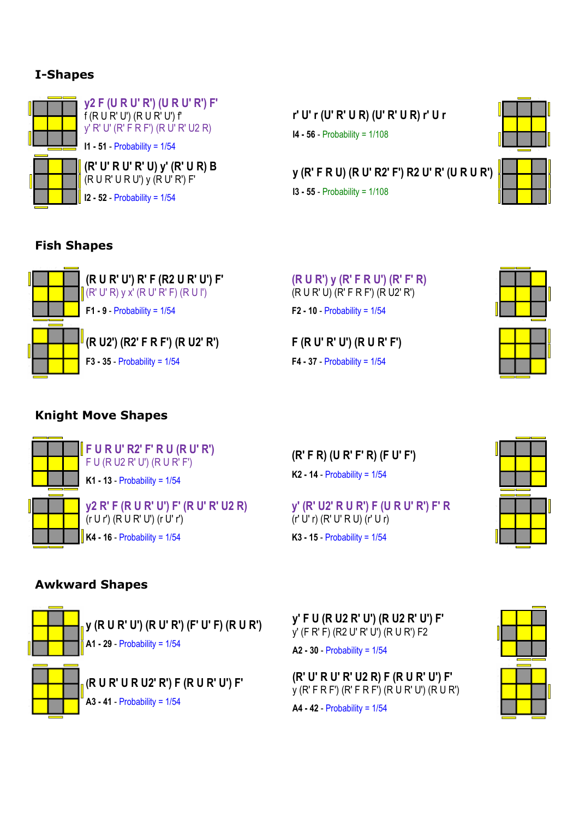### **I-Shapes**



**y2 F (U R U' R') (U R U' R') F'**  $f(R U R' U') (R U R' U') f'$ y' R' U' (R' F R F') (R U' R' U2 R) **I1 - 51** - Probability = 1/54

**(R' U' R U' R' U) y' (R' U R) B**  $(R U R' U R U')$  y  $(R U' R') F'$ 

**I2 - 52** - Probability = 1/54

**r' U' r (U' R' U R) (U' R' U R) r' U r I4 - 56** - Probability = 1/108



**y (R' F R U) (R U' R2' F') R2 U' R' (U R U R')**

**I3 - 55** - Probability = 1/108





#### **Fish Shapes**



**(R U R') y (R' F R U') (R' F' R)** (R U R' U) (R' F R F') (R U2' R') **F2 - 10** - Probability = 1/54

**F (R U' R' U') (R U R' F') F4 - 37** - Probability = 1/54



# **Knight Move Shapes**



**F U R U' R2' F' R U (R U' R')** F U (R U2 R' U') (R U R' F') **K1 - 13** - Probability = 1/54

(r U r') (R U R' U') (r U' r') **K4 - 16** - Probability = 1/54

**y2 R' F (R U R' U') F' (R U' R' U2 R)**

**(R' F R) (U R' F' R) (F U' F') K2 - 14** - Probability = 1/54

**y' (R' U2' R U R') F (U R U' R') F' R** (r' U' r) (R' U' R U) (r' U r) **K3 - 15** - Probability = 1/54



### **Awkward Shapes**



**y (R U R' U') (R U' R') (F' U' F) (R U R') A1 - 29** - Probability = 1/54



**(R U R' U R U2' R') F (R U R' U') F' A3 - 41** - Probability = 1/54

**y' F U (R U2 R' U') (R U2 R' U') F'** y' (F R' F) (R2 U' R' U') (R U R') F2

**A2 - 30** - Probability = 1/54

**(R' U' R U' R' U2 R) F (R U R' U') F'**  y (R' F R F') (R' F R F') (R U R' U') (R U R')

**A4 - 42** - Probability = 1/54